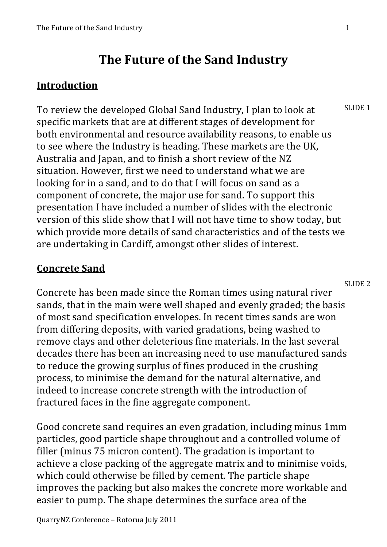# **The Future of the Sand Industry**

### **Introduction**

To review the developed Global Sand Industry, I plan to look at specific markets that are at different stages of development for both environmental and resource availability reasons, to enable us to see where the Industry is heading. These markets are the UK, Australia and Japan, and to finish a short review of the NZ situation. However, first we need to understand what we are looking for in a sand, and to do that I will focus on sand as a component of concrete, the major use for sand. To support this presentation I have included a number of slides with the electronic version of this slide show that I will not have time to show today, but which provide more details of sand characteristics and of the tests we are undertaking in Cardiff, amongst other slides of interest. SLIDE<sub>1</sub>

### **Concrete Sand**

Concrete has been made since the Roman times using natural river sands, that in the main were well shaped and evenly graded; the basis of most sand specification envelopes. In recent times sands are won from differing deposits, with varied gradations, being washed to remove clays and other deleterious fine materials. In the last several decades there has been an increasing need to use manufactured sands to reduce the growing surplus of fines produced in the crushing process, to minimise the demand for the natural alternative, and indeed to increase concrete strength with the introduction of fractured faces in the fine aggregate component. SLIDE<sub>2</sub>

Good concrete sand requires an even gradation, including minus 1mm particles, good particle shape throughout and a controlled volume of filler (minus 75 micron content). The gradation is important to achieve a close packing of the aggregate matrix and to minimise voids, which could otherwise be filled by cement. The particle shape improves the packing but also makes the concrete more workable and easier to pump. The shape determines the surface area of the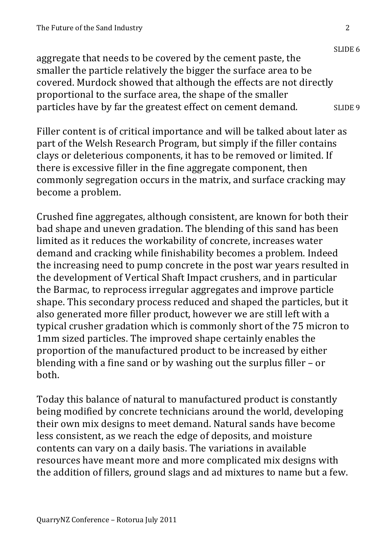SLIDE 6 aggregate that needs to be covered by the cement paste, the smaller the particle relatively the bigger the surface area to be covered. Murdock showed that although the effects are not directly proportional to the surface area, the shape of the smaller particles have by far the greatest effect on cement demand. SLIDE 9

Filler content is of critical importance and will be talked about later as part of the Welsh Research Program, but simply if the filler contains clays or deleterious components, it has to be removed or limited. If there is excessive filler in the fine aggregate component, then commonly segregation occurs in the matrix, and surface cracking may become a problem.

Crushed fine aggregates, although consistent, are known for both their bad shape and uneven gradation. The blending of this sand has been limited as it reduces the workability of concrete, increases water demand and cracking while finishability becomes a problem. Indeed the increasing need to pump concrete in the post war years resulted in the development of Vertical Shaft Impact crushers, and in particular the Barmac, to reprocess irregular aggregates and improve particle shape. This secondary process reduced and shaped the particles, but it also generated more filler product, however we are still left with a typical crusher gradation which is commonly short of the 75 micron to 1mm sized particles. The improved shape certainly enables the proportion of the manufactured product to be increased by either blending with a fine sand or by washing out the surplus filler  $-$  or both.

Today this balance of natural to manufactured product is constantly being modified by concrete technicians around the world, developing their own mix designs to meet demand. Natural sands have become less consistent, as we reach the edge of deposits, and moisture contents can vary on a daily basis. The variations in available resources have meant more and more complicated mix designs with the addition of fillers, ground slags and ad mixtures to name but a few.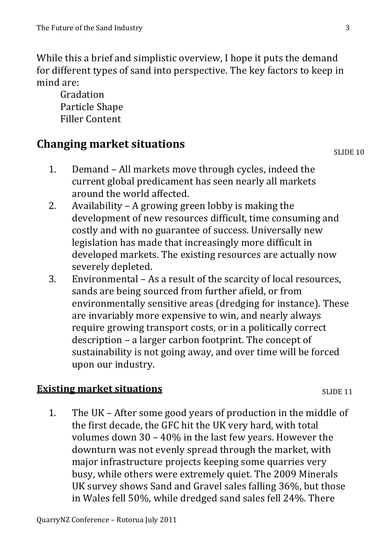While this a brief and simplistic overview. I hope it puts the demand for different types of sand into perspective. The key factors to keep in mind are:

Gradation Particle Shape **Filler Content** 

## **Changing market situations**

- Demand All markets move through cycles, indeed the  $1<sub>1</sub>$ current global predicament has seen nearly all markets around the world affected.
- Availability A growing green lobby is making the  $2.$ development of new resources difficult, time consuming and costly and with no guarantee of success. Universally new legislation has made that increasingly more difficult in developed markets. The existing resources are actually now severely depleted.
- 3. Environmental - As a result of the scarcity of local resources, sands are being sourced from further afield, or from environmentally sensitive areas (dredging for instance). These are invariably more expensive to win, and nearly always require growing transport costs, or in a politically correct description – a larger carbon footprint. The concept of sustainability is not going away, and over time will be forced upon our industry.

### **Existing market situations**

SLIDE<sub>11</sub>

The UK – After some good years of production in the middle of 1. the first decade, the GFC hit the UK very hard, with total volumes down  $30 - 40\%$  in the last few years. However the downturn was not evenly spread through the market, with major infrastructure projects keeping some quarries very busy, while others were extremely quiet. The 2009 Minerals UK survey shows Sand and Gravel sales falling 36%, but those in Wales fell 50%, while dredged sand sales fell 24%. There

**SLIDE 10**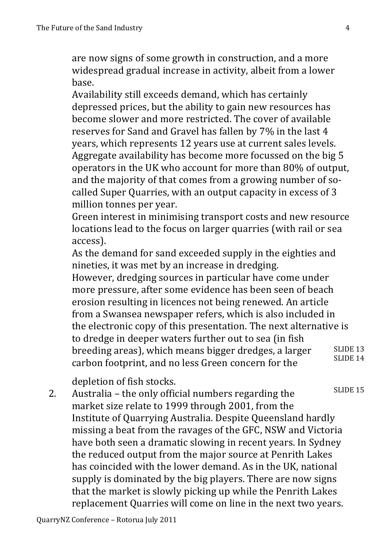are now signs of some growth in construction, and a more widespread gradual increase in activity, albeit from a lower base.

Availability still exceeds demand, which has certainly depressed prices, but the ability to gain new resources has become slower and more restricted. The cover of available reserves for Sand and Gravel has fallen by 7% in the last 4 years, which represents 12 years use at current sales levels. Aggregate availability has become more focussed on the big 5 operators in the UK who account for more than 80% of output. and the majority of that comes from a growing number of socalled Super Quarries, with an output capacity in excess of 3 million tonnes per year.

Green interest in minimising transport costs and new resource locations lead to the focus on larger quarries (with rail or sea access).

As the demand for sand exceeded supply in the eighties and nineties, it was met by an increase in dredging.

However, dredging sources in particular have come under more pressure, after some evidence has been seen of beach erosion resulting in licences not being renewed. An article from a Swansea newspaper refers, which is also included in the electronic copy of this presentation. The next alternative is to dredge in deeper waters further out to sea (in fish breeding areas), which means bigger dredges, a larger carbon footprint, and no less Green concern for the SLIDE 13 SLIDE 14

depletion of fish stocks.

2. Australia – the only official numbers regarding the market size relate to 1999 through 2001, from the Institute of Quarrying Australia. Despite Queensland hardly missing a beat from the ravages of the GFC, NSW and Victoria have both seen a dramatic slowing in recent years. In Sydney the reduced output from the major source at Penrith Lakes has coincided with the lower demand. As in the UK, national supply is dominated by the big players. There are now signs that the market is slowly picking up while the Penrith Lakes replacement Quarries will come on line in the next two years. SLIDE 15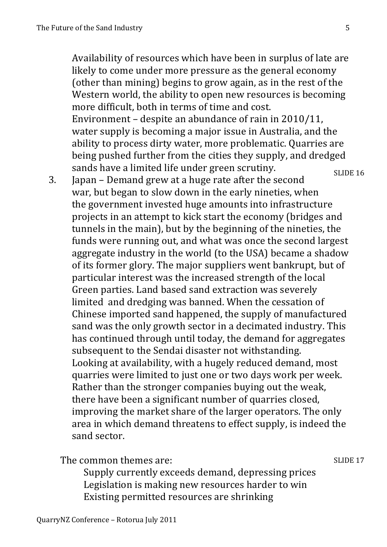Availability of resources which have been in surplus of late are likely to come under more pressure as the general economy (other than mining) begins to grow again, as in the rest of the Western world, the ability to open new resources is becoming more difficult, both in terms of time and cost. Environment – despite an abundance of rain in  $2010/11$ , water supply is becoming a major issue in Australia, and the ability to process dirty water, more problematic. Quarries are being pushed further from the cities they supply, and dredged sands have a limited life under green scrutiny. SLIDE 16

3. Japan – Demand grew at a huge rate after the second war, but began to slow down in the early nineties, when the government invested huge amounts into infrastructure projects in an attempt to kick start the economy (bridges and tunnels in the main), but by the beginning of the nineties, the funds were running out, and what was once the second largest aggregate industry in the world (to the USA) became a shadow of its former glory. The major suppliers went bankrupt, but of particular interest was the increased strength of the local Green parties. Land based sand extraction was severely limited and dredging was banned. When the cessation of Chinese imported sand happened, the supply of manufactured sand was the only growth sector in a decimated industry. This has continued through until today, the demand for aggregates subsequent to the Sendai disaster not withstanding. Looking at availability, with a hugely reduced demand, most quarries were limited to just one or two days work per week. Rather than the stronger companies buying out the weak, there have been a significant number of quarries closed, improving the market share of the larger operators. The only area in which demand threatens to effect supply, is indeed the sand sector.

The common themes are:

Supply currently exceeds demand, depressing prices Legislation is making new resources harder to win Existing permitted resources are shrinking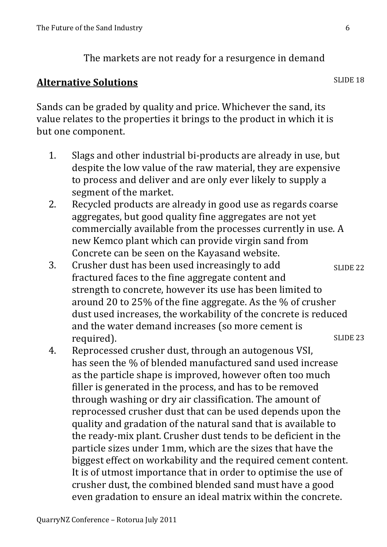The markets are not ready for a resurgence in demand

### **Alternative Solutions**

Sands can be graded by quality and price. Whichever the sand, its value relates to the properties it brings to the product in which it is but one component.

- Slags and other industrial bi-products are already in use, but  $1<sub>1</sub>$ despite the low value of the raw material, they are expensive to process and deliver and are only ever likely to supply a segment of the market.
- Recycled products are already in good use as regards coarse 2. aggregates, but good quality fine aggregates are not yet commercially available from the processes currently in use. A new Kemco plant which can provide virgin sand from Concrete can be seen on the Kayasand website.
- Crusher dust has been used increasingly to add 3. SLIDE<sub>22</sub> fractured faces to the fine aggregate content and strength to concrete, however its use has been limited to around 20 to 25% of the fine aggregate. As the % of crusher dust used increases, the workability of the concrete is reduced and the water demand increases (so more cement is SLIDE<sub>23</sub> required).
- Reprocessed crusher dust, through an autogenous VSI, 4. has seen the % of blended manufactured sand used increase as the particle shape is improved, however often too much filler is generated in the process, and has to be removed through washing or dry air classification. The amount of reprocessed crusher dust that can be used depends upon the quality and gradation of the natural sand that is available to the ready-mix plant. Crusher dust tends to be deficient in the particle sizes under 1mm, which are the sizes that have the biggest effect on workability and the required cement content. It is of utmost importance that in order to optimise the use of crusher dust, the combined blended sand must have a good even gradation to ensure an ideal matrix within the concrete.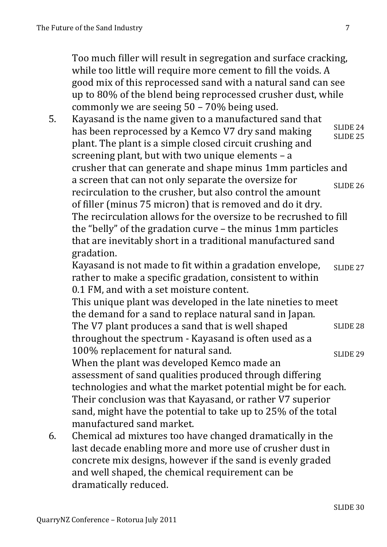Too much filler will result in segregation and surface cracking. while too little will require more cement to fill the voids. A good mix of this reprocessed sand with a natural sand can see up to 80% of the blend being reprocessed crusher dust, while commonly we are seeing  $50 - 70\%$  being used.

Kavasand is the name given to a manufactured sand that  $5.$ SLIDE<sub>24</sub> has been reprocessed by a Kemco V7 dry sand making **SLIDE 25** plant. The plant is a simple closed circuit crushing and screening plant, but with two unique elements  $- a$ crusher that can generate and shape minus 1mm particles and a screen that can not only separate the oversize for SLIDE<sub>26</sub> recirculation to the crusher, but also control the amount of filler (minus 75 micron) that is removed and do it dry. The recirculation allows for the oversize to be recrushed to fill the "belly" of the gradation curve - the minus 1mm particles that are inevitably short in a traditional manufactured sand gradation.

Kayasand is not made to fit within a gradation envelope, SLIDE<sub>27</sub> rather to make a specific gradation, consistent to within 0.1 FM, and with a set moisture content.

This unique plant was developed in the late nineties to meet the demand for a sand to replace natural sand in Japan. The V7 plant produces a sand that is well shaped **SLIDE 28** throughout the spectrum - Kayasand is often used as a 100% replacement for natural sand.

**SLIDE 29** When the plant was developed Kemco made an assessment of sand qualities produced through differing technologies and what the market potential might be for each. Their conclusion was that Kayasand, or rather V7 superior sand, might have the potential to take up to 25% of the total manufactured sand market.

Chemical ad mixtures too have changed dramatically in the 6. last decade enabling more and more use of crusher dust in concrete mix designs, however if the sand is evenly graded and well shaped, the chemical requirement can be dramatically reduced.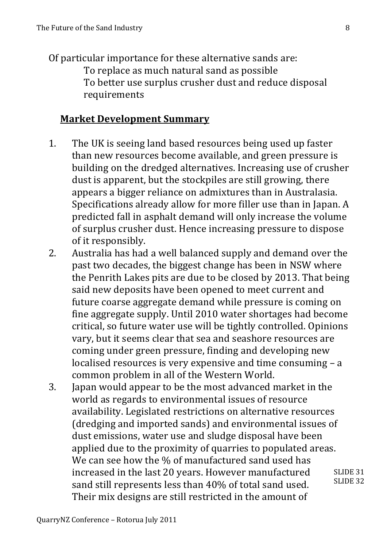Of particular importance for these alternative sands are: To replace as much natural sand as possible To better use surplus crusher dust and reduce disposal requirements

### **Market Development Summary**

- 1. The UK is seeing land based resources being used up faster than new resources become available, and green pressure is building on the dredged alternatives. Increasing use of crusher dust is apparent, but the stockpiles are still growing, there appears a bigger reliance on admixtures than in Australasia. Specifications already allow for more filler use than in Japan. A predicted fall in asphalt demand will only increase the volume of surplus crusher dust. Hence increasing pressure to dispose of it responsibly.
- 2. Australia has had a well balanced supply and demand over the past two decades, the biggest change has been in NSW where the Penrith Lakes pits are due to be closed by 2013. That being said new deposits have been opened to meet current and future coarse aggregate demand while pressure is coming on fine aggregate supply. Until 2010 water shortages had become critical, so future water use will be tightly controlled. Opinions vary, but it seems clear that sea and seashore resources are coming under green pressure, finding and developing new localised resources is very expensive and time consuming  $- a$ common problem in all of the Western World.
- 3. Japan would appear to be the most advanced market in the world as regards to environmental issues of resource availability. Legislated restrictions on alternative resources (dredging and imported sands) and environmental issues of dust emissions, water use and sludge disposal have been applied due to the proximity of quarries to populated areas. We can see how the % of manufactured sand used has increased in the last 20 years. However manufactured sand still represents less than 40% of total sand used. Their mix designs are still restricted in the amount of SLIDE 31 SLIDE 32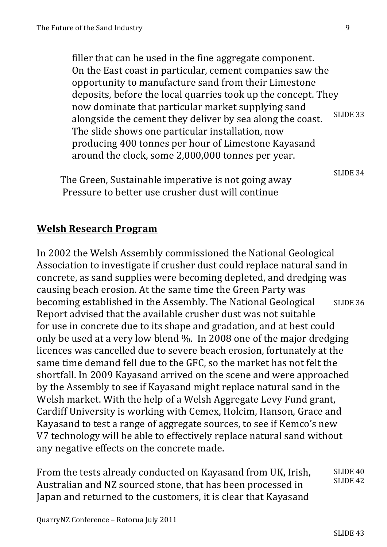filler that can be used in the fine aggregate component. On the East coast in particular, cement companies saw the opportunity to manufacture sand from their Limestone deposits, before the local quarries took up the concept. They now dominate that particular market supplying sand alongside the cement they deliver by sea along the coast. The slide shows one particular installation, now producing 400 tonnes per hour of Limestone Kayasand around the clock, some  $2,000,000$  tonnes per year. SLIDE 33

The Green, Sustainable imperative is not going away Pressure to better use crusher dust will continue

**Welsh Research Program** 

In 2002 the Welsh Assembly commissioned the National Geological Association to investigate if crusher dust could replace natural sand in concrete, as sand supplies were becoming depleted, and dredging was causing beach erosion. At the same time the Green Party was becoming established in the Assembly. The National Geological Report advised that the available crusher dust was not suitable for use in concrete due to its shape and gradation, and at best could only be used at a very low blend %. In 2008 one of the major dredging licences was cancelled due to severe beach erosion, fortunately at the same time demand fell due to the GFC, so the market has not felt the shortfall. In 2009 Kayasand arrived on the scene and were approached by the Assembly to see if Kayasand might replace natural sand in the Welsh market. With the help of a Welsh Aggregate Levy Fund grant, Cardiff University is working with Cemex, Holcim, Hanson, Grace and Kayasand to test a range of aggregate sources, to see if Kemco's new V7 technology will be able to effectively replace natural sand without any negative effects on the concrete made. SLIDE 36

From the tests already conducted on Kayasand from UK, Irish, Australian and NZ sourced stone, that has been processed in Japan and returned to the customers, it is clear that Kayasand SLIDE 40 SLIDE 42

SLIDE 34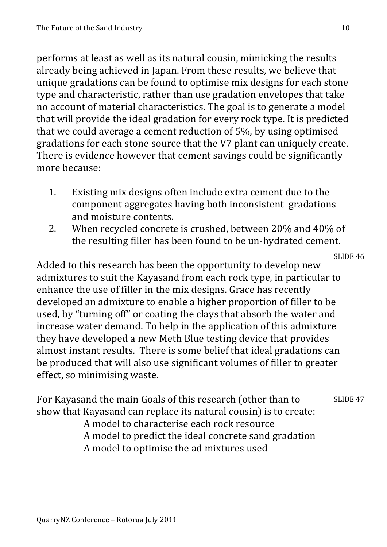performs at least as well as its natural cousin, mimicking the results already being achieved in Japan. From these results, we believe that unique gradations can be found to optimise mix designs for each stone type and characteristic, rather than use gradation envelopes that take no account of material characteristics. The goal is to generate a model that will provide the ideal gradation for every rock type. It is predicted that we could average a cement reduction of 5%, by using optimised gradations for each stone source that the V7 plant can uniquely create. There is evidence however that cement savings could be significantly more because:

- Existing mix designs often include extra cement due to the 1. component aggregates having both inconsistent gradations and moisture contents.
- When recycled concrete is crushed, between 20% and 40% of  $2.$ the resulting filler has been found to be un-hydrated cement.

SLIDE 46 Added to this research has been the opportunity to develop new admixtures to suit the Kayasand from each rock type, in particular to enhance the use of filler in the mix designs. Grace has recently developed an admixture to enable a higher proportion of filler to be used, by "turning off" or coating the clays that absorb the water and increase water demand. To help in the application of this admixture they have developed a new Meth Blue testing device that provides almost instant results. There is some belief that ideal gradations can be produced that will also use significant volumes of filler to greater effect, so minimising waste.

For Kayasand the main Goals of this research (other than to SLIDE<sub>47</sub> show that Kayasand can replace its natural cousin) is to create: A model to characterise each rock resource A model to predict the ideal concrete sand gradation A model to optimise the ad mixtures used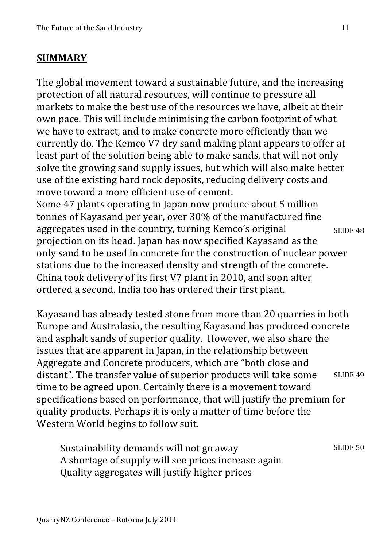#### **SUMMARY**

The global movement toward a sustainable future, and the increasing protection of all natural resources, will continue to pressure all markets to make the best use of the resources we have, albeit at their own pace. This will include minimising the carbon footprint of what we have to extract, and to make concrete more efficiently than we currently do. The Kemco V7 dry sand making plant appears to offer at least part of the solution being able to make sands, that will not only solve the growing sand supply issues, but which will also make better use of the existing hard rock deposits, reducing delivery costs and move toward a more efficient use of cement. Some 47 plants operating in Japan now produce about 5 million tonnes of Kayasand per year, over 30% of the manufactured fine aggregates used in the country, turning Kemco's original SLIDE 48

projection on its head. Japan has now specified Kayasand as the only sand to be used in concrete for the construction of nuclear power stations due to the increased density and strength of the concrete. China took delivery of its first  $V7$  plant in 2010, and soon after ordered a second. India too has ordered their first plant.

Kayasand has already tested stone from more than 20 quarries in both Europe and Australasia, the resulting Kayasand has produced concrete and asphalt sands of superior quality. However, we also share the issues that are apparent in Japan, in the relationship between Aggregate and Concrete producers, which are "both close and distant". The transfer value of superior products will take some time to be agreed upon. Certainly there is a movement toward specifications based on performance, that will justify the premium for quality products. Perhaps it is only a matter of time before the Western World begins to follow suit. SLIDE 49

Sustainability demands will not go away A shortage of supply will see prices increase again Quality aggregates will justify higher prices SLIDE 50